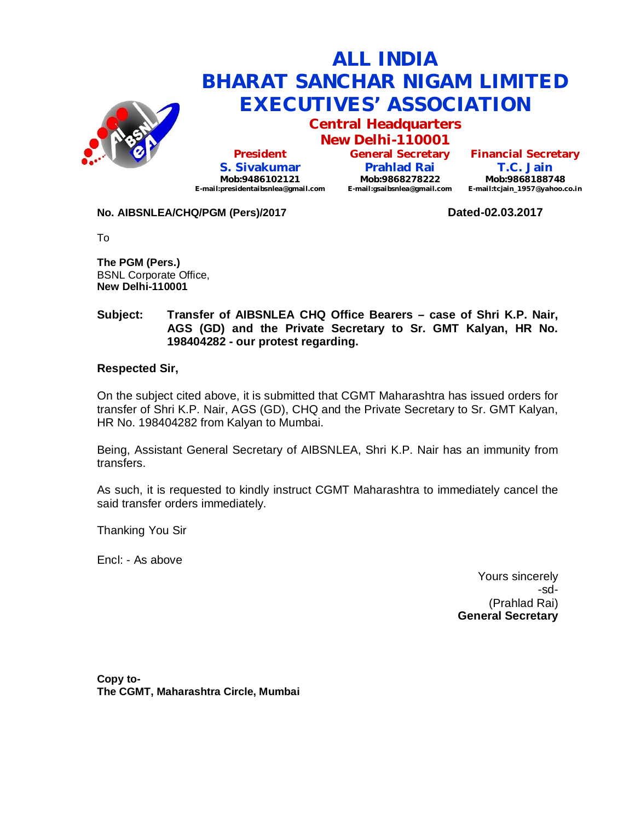

**Central Headquarters**

**New Delhi-110001 President S. Sivakumar Mob:9486102121 E-mail:presidentaibsnlea@gmail.com**

**General Secretary Prahlad Rai Mob:9868278222 E-mail:gsaibsnlea@gmail.com**

**Financial Secretary T.C. Jain Mob:9868188748 E-mail:tcjain\_1957@yahoo.co.in**

### **No. AIBSNLEA/CHQ/PGM (Pers)/2017 Dated-02.03.2017**

To

**The PGM (Pers.)** BSNL Corporate Office, **New Delhi-110001** 

### **Subject: Transfer of AIBSNLEA CHQ Office Bearers – case of Shri K.P. Nair, AGS (GD) and the Private Secretary to Sr. GMT Kalyan, HR No. 198404282 - our protest regarding.**

### **Respected Sir,**

On the subject cited above, it is submitted that CGMT Maharashtra has issued orders for transfer of Shri K.P. Nair, AGS (GD), CHQ and the Private Secretary to Sr. GMT Kalyan, HR No. 198404282 from Kalyan to Mumbai.

Being, Assistant General Secretary of AIBSNLEA, Shri K.P. Nair has an immunity from transfers.

As such, it is requested to kindly instruct CGMT Maharashtra to immediately cancel the said transfer orders immediately.

Thanking You Sir

Encl: - As above

Yours sincerely -sd- (Prahlad Rai) **General Secretary**

**Copy to-The CGMT, Maharashtra Circle, Mumbai**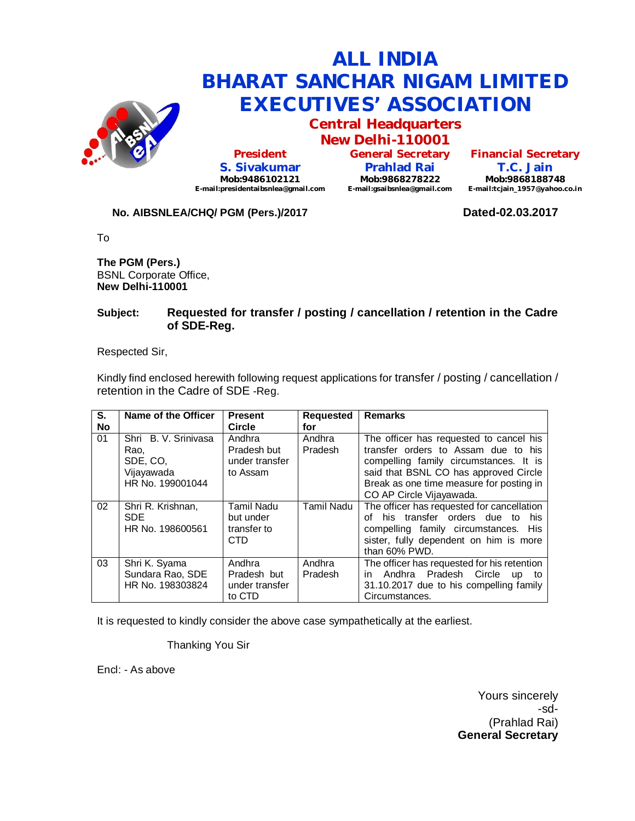

### **ALL INDIA BHARAT SANCHAR NIGAM LIMITED EXECUTIVES' ASSOCIATION Central Headquarters**

**President S. Sivakumar Mob:9486102121 E-mail:presidentaibsnlea@gmail.com**

**New Delhi-110001 General Secretary Prahlad Rai Mob:9868278222 E-mail:gsaibsnlea@gmail.com**

**Financial Secretary T.C. Jain Mob:9868188748 E-mail:tcjain\_1957@yahoo.co.in**

### **No. AIBSNLEA/CHQ/ PGM (Pers.)/2017 Dated-02.03.2017**

To

**The PGM (Pers.)** BSNL Corporate Office, **New Delhi-110001** 

### **Subject: Requested for transfer / posting / cancellation / retention in the Cadre of SDE-Reg.**

Respected Sir,

Kindly find enclosed herewith following request applications for transfer / posting / cancellation / retention in the Cadre of SDE -Reg.

| S.<br><b>No</b> | Name of the Officer                                                        | <b>Present</b><br><b>Circle</b>                      | <b>Requested</b><br>for | <b>Remarks</b>                                                                                                                                                                                                                            |
|-----------------|----------------------------------------------------------------------------|------------------------------------------------------|-------------------------|-------------------------------------------------------------------------------------------------------------------------------------------------------------------------------------------------------------------------------------------|
| 01              | Shri B. V. Sriniyasa<br>Rao,<br>SDE, CO.<br>Vijayawada<br>HR No. 199001044 | Andhra<br>Pradesh but<br>under transfer<br>to Assam  | Andhra<br>Pradesh       | The officer has requested to cancel his<br>transfer orders to Assam due to his<br>compelling family circumstances. It is<br>said that BSNL CO has approved Circle<br>Break as one time measure for posting in<br>CO AP Circle Vijayawada. |
| 02              | Shri R. Krishnan,<br><b>SDE</b><br>HR No. 198600561                        | <b>Tamil Nadu</b><br>but under<br>transfer to<br>CTD | Tamil Nadu              | The officer has requested for cancellation<br>of his transfer orders due to<br>his<br>compelling family circumstances. His<br>sister, fully dependent on him is more<br>than 60% PWD.                                                     |
| 03              | Shri K. Syama<br>Sundara Rao, SDE<br>HR No. 198303824                      | Andhra<br>Pradesh but<br>under transfer<br>to CTD    | Andhra<br>Pradesh       | The officer has requested for his retention<br>in Andhra Pradesh Circle<br><b>up</b><br>to<br>31.10.2017 due to his compelling family<br>Circumstances.                                                                                   |

It is requested to kindly consider the above case sympathetically at the earliest.

Thanking You Sir

Encl: - As above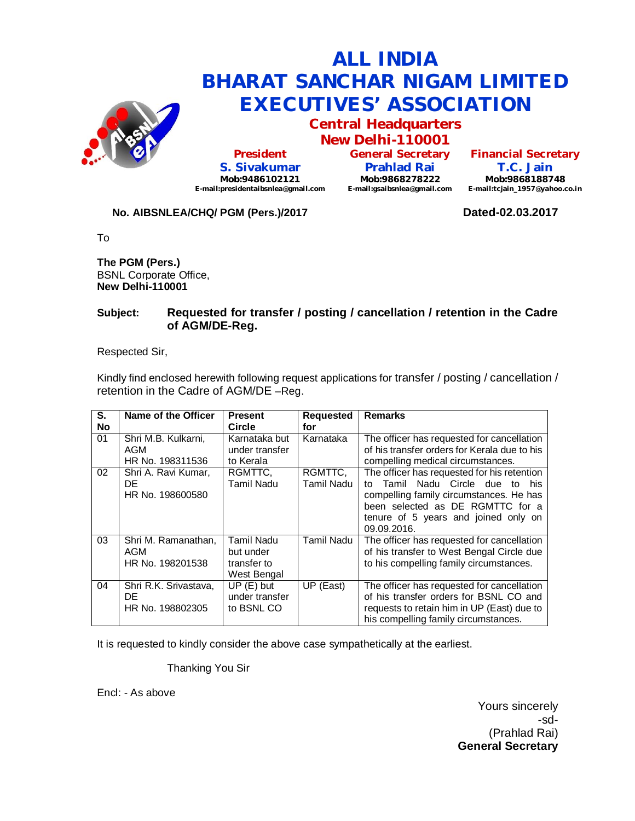

### **ALL INDIA BHARAT SANCHAR NIGAM LIMITED EXECUTIVES' ASSOCIATION Central Headquarters**

**President S. Sivakumar Mob:9486102121 E-mail:presidentaibsnlea@gmail.com**

**New Delhi-110001 General Secretary Prahlad Rai Mob:9868278222 E-mail:gsaibsnlea@gmail.com**

**Financial Secretary T.C. Jain Mob:9868188748 E-mail:tcjain\_1957@yahoo.co.in**

### **No. AIBSNLEA/CHQ/ PGM (Pers.)/2017 Dated-02.03.2017**

To

**The PGM (Pers.)** BSNL Corporate Office, **New Delhi-110001** 

### **Subject: Requested for transfer / posting / cancellation / retention in the Cadre of AGM/DE-Reg.**

Respected Sir,

Kindly find enclosed herewith following request applications for transfer / posting / cancellation / retention in the Cadre of AGM/DE –Reg.

| S.        | Name of the Officer   | <b>Present</b> | <b>Requested</b> | <b>Remarks</b>                               |
|-----------|-----------------------|----------------|------------------|----------------------------------------------|
| <b>No</b> |                       | <b>Circle</b>  | for              |                                              |
|           |                       |                |                  |                                              |
| 01        | Shri M.B. Kulkarni,   | Karnataka but  | Karnataka        | The officer has requested for cancellation   |
|           | AGM                   | under transfer |                  | of his transfer orders for Kerala due to his |
|           | HR No. 198311536      | to Kerala      |                  | compelling medical circumstances.            |
| 02        | Shri A. Ravi Kumar,   | RGMTTC.        | RGMTTC,          | The officer has requested for his retention  |
|           | DE                    | Tamil Nadu     | Tamil Nadu       | Tamil Nadu Circle due<br>to<br>−to<br>his.   |
|           | HR No. 198600580      |                |                  | compelling family circumstances. He has      |
|           |                       |                |                  | been selected as DE RGMTTC for a             |
|           |                       |                |                  |                                              |
|           |                       |                |                  | tenure of 5 years and joined only on         |
|           |                       |                |                  | 09.09.2016.                                  |
| 03        | Shri M. Ramanathan,   | Tamil Nadu     | Tamil Nadu       | The officer has requested for cancellation   |
|           | AGM                   | but under      |                  | of his transfer to West Bengal Circle due    |
|           | HR No. 198201538      | transfer to    |                  | to his compelling family circumstances.      |
|           |                       | West Bengal    |                  |                                              |
| 04        | Shri R.K. Srivastava, |                |                  |                                              |
|           |                       | $UP(E)$ but    | UP (East)        | The officer has requested for cancellation   |
|           | DE                    | under transfer |                  | of his transfer orders for BSNL CO and       |
|           | HR No. 198802305      | to BSNL CO     |                  | requests to retain him in UP (East) due to   |
|           |                       |                |                  | his compelling family circumstances.         |

It is requested to kindly consider the above case sympathetically at the earliest.

Thanking You Sir

Encl: - As above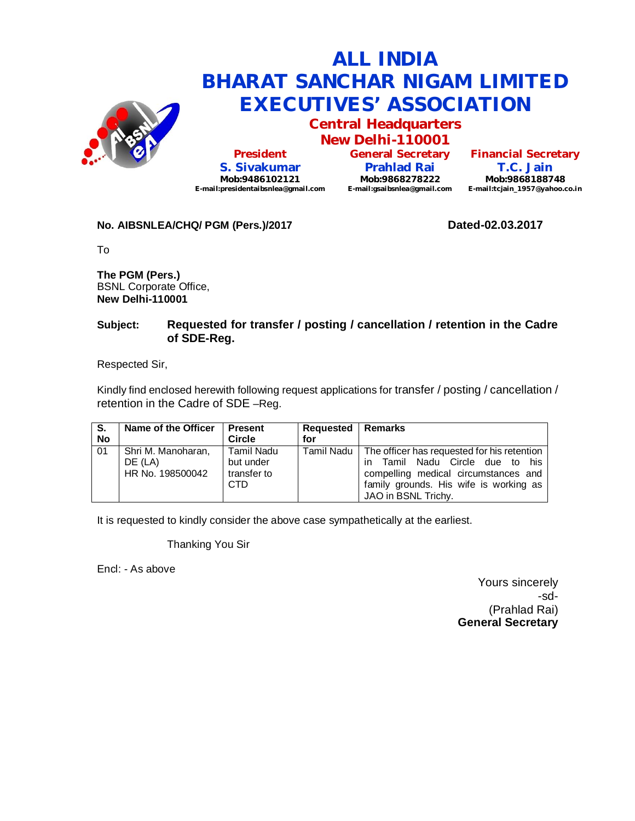

**Central Headquarters New Delhi-110001**

**President S. Sivakumar Mob:9486102121 E-mail:presidentaibsnlea@gmail.com**

**General Secretary Prahlad Rai Mob:9868278222 E-mail:gsaibsnlea@gmail.com E-mail:tcjain\_1957@yahoo.co.in**

**Financial Secretary T.C. Jain Mob:9868188748**

### **No. AIBSNLEA/CHQ/ PGM (Pers.)/2017 Dated-02.03.2017**

To

**The PGM (Pers.)** BSNL Corporate Office, **New Delhi-110001** 

### **Subject: Requested for transfer / posting / cancellation / retention in the Cadre of SDE-Reg.**

Respected Sir,

Kindly find enclosed herewith following request applications for transfer / posting / cancellation / retention in the Cadre of SDE –Reg.

| S.        | Name of the Officer                               | I Present                                        | Requested  | <b>I</b> Remarks                                                                                                                                                                                     |
|-----------|---------------------------------------------------|--------------------------------------------------|------------|------------------------------------------------------------------------------------------------------------------------------------------------------------------------------------------------------|
| <b>No</b> |                                                   | <b>Circle</b>                                    | for        |                                                                                                                                                                                                      |
| 01        | Shri M. Manoharan,<br>DE (LA)<br>HR No. 198500042 | l Tamil Nadu<br>but under<br>transfer to<br>CTD. | Tamil Nadu | The officer has requested for his retention<br>Tamil Nadu Circle due to his<br>$\mathsf{I}$<br>compelling medical circumstances and<br>family grounds. His wife is working as<br>JAO in BSNL Trichy. |

It is requested to kindly consider the above case sympathetically at the earliest.

Thanking You Sir

Encl: - As above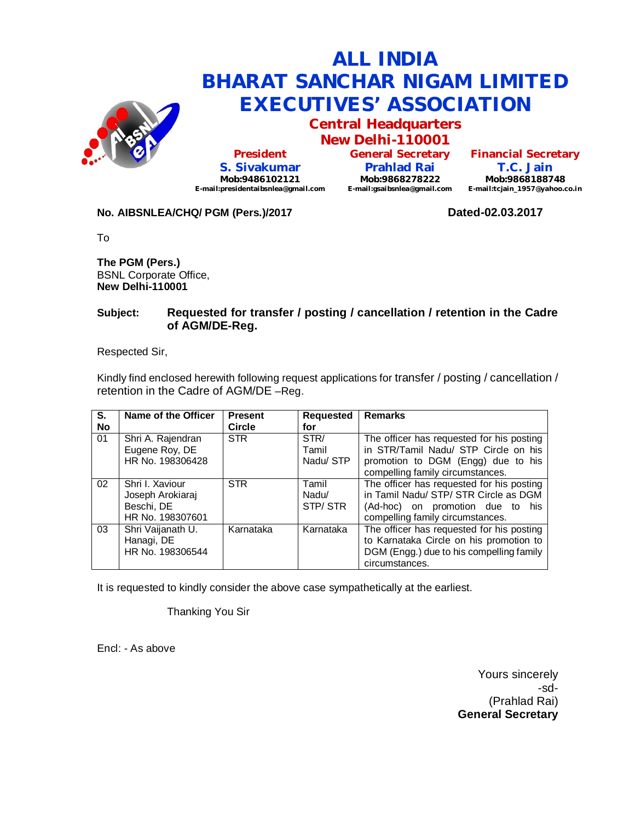

**Central Headquarters**

**New Delhi-110001 President S. Sivakumar Mob:9486102121 E-mail:presidentaibsnlea@gmail.com**

**General Secretary Prahlad Rai Mob:9868278222 E-mail:gsaibsnlea@gmail.com**

**Financial Secretary T.C. Jain Mob:9868188748 E-mail:tcjain\_1957@yahoo.co.in**

### **No. AIBSNLEA/CHQ/ PGM (Pers.)/2017 Dated-02.03.2017**

To

**The PGM (Pers.)** BSNL Corporate Office, **New Delhi-110001** 

### **Subject: Requested for transfer / posting / cancellation / retention in the Cadre of AGM/DE-Reg.**

Respected Sir,

Kindly find enclosed herewith following request applications for transfer / posting / cancellation / retention in the Cadre of AGM/DE –Reg.

| S.<br><b>No</b> | Name of the Officer                                                   | <b>Present</b><br><b>Circle</b> | <b>Requested</b><br>for   | <b>Remarks</b>                                                                                                                                              |
|-----------------|-----------------------------------------------------------------------|---------------------------------|---------------------------|-------------------------------------------------------------------------------------------------------------------------------------------------------------|
| 01              | Shri A. Rajendran<br>Eugene Roy, DE<br>HR No. 198306428               | <b>STR</b>                      | STR/<br>Tamil<br>Nadu/STP | The officer has requested for his posting<br>in STR/Tamil Nadu/ STP Circle on his<br>promotion to DGM (Engg) due to his<br>compelling family circumstances. |
| 02              | Shri I. Xaviour<br>Joseph Arokiaraj<br>Beschi, DE<br>HR No. 198307601 | <b>STR</b>                      | Tamil<br>Nadu/<br>STP/STR | The officer has requested for his posting<br>in Tamil Nadu/ STP/ STR Circle as DGM<br>(Ad-hoc) on promotion due to his<br>compelling family circumstances.  |
| 03              | Shri Vaijanath U.<br>Hanagi, DE<br>HR No. 198306544                   | Karnataka                       | Karnataka                 | The officer has requested for his posting<br>to Karnataka Circle on his promotion to<br>DGM (Engg.) due to his compelling family<br>circumstances.          |

It is requested to kindly consider the above case sympathetically at the earliest.

Thanking You Sir

Encl: - As above